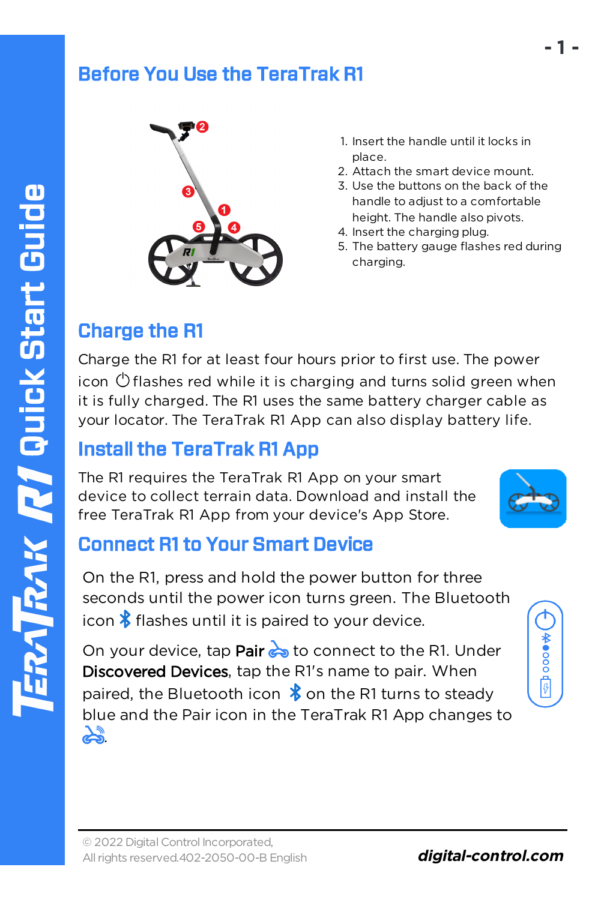#### Before You Use the TeraTrak R1



- 1. Insert the handle until it locks in place.
- 2. Attach the smart device mount.
- 3. Use the buttons on the back of the handle to adjust to a comfortable height. The handle also pivots.
- 4. Insert the charging plug.
- 5. The battery gauge flashes red during charging.

# Charge the R1

Charge the R1 for at least four hours prior to first use. The power icon  $\circlearrowright$  flashes red while it is charging and turns solid green when it is fully charged. The R1 uses the same battery charger cable as your locator. The TeraTrak R1 App can also display battery life.

# Install the TeraTrak R1 App

The R1 requires the TeraTrak R1 App on your smart device to collect terrain data. Download and install the free TeraTrak R1 App from your device's App Store.



# Connect R1 to Your Smart Device

On the R1, press and hold the power button for three seconds until the power icon turns green. The Bluetooth icon  $\frac{1}{2}$  flashes until it is paired to your device.

On your device, tap Pair  $\leftrightarrow$  to connect to the R1. Under Discovered Devices, tap the R1's name to pair. When paired, the Bluetooth icon  $\frac{1}{2}$  on the R1 turns to steady blue and the Pair icon in the TeraTrak R1 App changes to يلہ

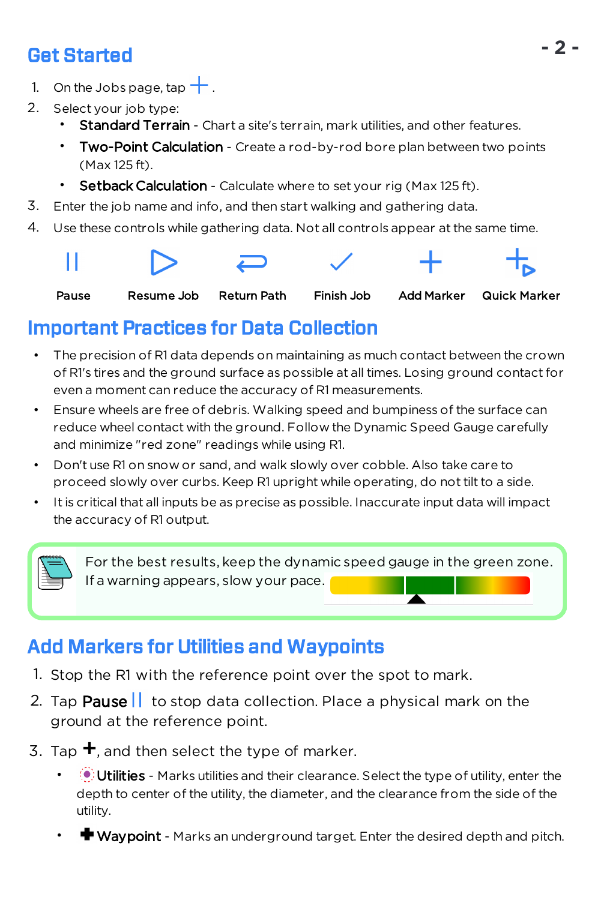# Get Started

- 1. On the Jobs page, tap  $\pm$ .
- 2. Select your job type:
	- **Standard Terrain** Chart a site's terrain, mark utilities, and other features.
	- Two-Point Calculation Create a rod-by-rod bore plan between two points (Max 125 ft).
	- Setback Calculation Calculate where to set your rig (Max 125 ft).
- 3. Enter the job name and info, and then start walking and gathering data.
- 4. Use these controls while gathering data. Not all controls appear at the same time.



# Important Practices for Data Collection

- The precision of R1 data depends on maintaining as much contact between the crown of R1's tires and the ground surface as possible at all times. Losing ground contact for even a moment can reduce the accuracy of R1 measurements.
- Ensure wheels are free of debris. Walking speed and bumpiness of the surface can reduce wheel contact with the ground. Follow the Dynamic Speed Gauge carefully and minimize "red zone" readings while using R1.
- Don't use R1 on snow or sand, and walk slowly over cobble. Also take care to proceed slowly over curbs. Keep R1 upright while operating, do not tilt to a side.
- It is critical that all inputs be as precise as possible. Inaccurate input data will impact the accuracy of R1 output.

For the best results, keep the dynamic speed gauge in the green zone. If a warning appears, slow your pace.

# Add Markers for Utilities and Waypoints

- 1. Stop the R1 with the reference point over the spot to mark.
- 2. Tap Pause  $\left| \right|$  to stop data collection. Place a physical mark on the ground at the reference point.
- 3. Tap  $\pm$ , and then select the type of marker.
	- **Utilities** Marks utilities and their clearance. Select the type of utility, enter the depth to center of the utility, the diameter, and the clearance from the side of the utility.
	- **Waypoint** Marks an underground target. Enter the desired depth and pitch.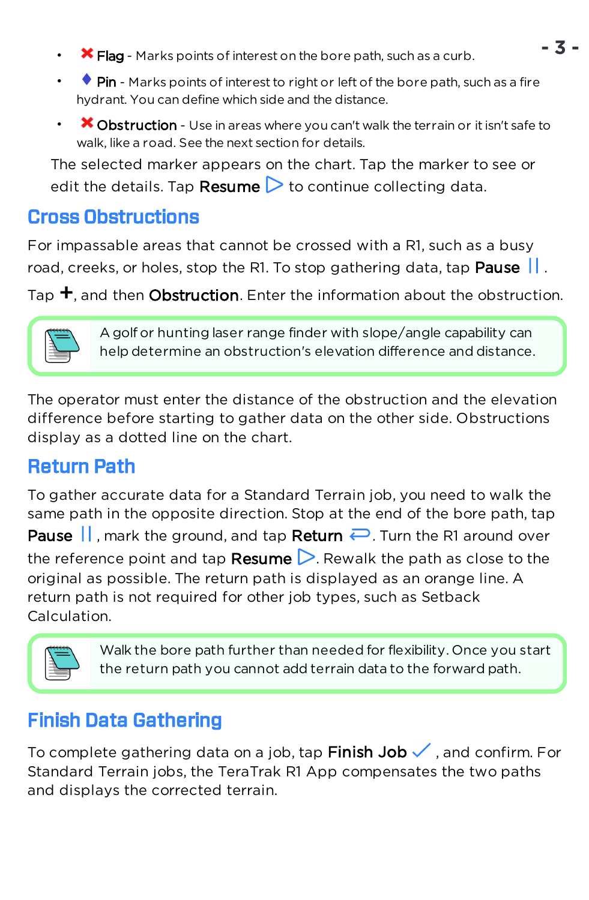- $\star$  Flag Marks points of interest on the bore path, such as a curb.
- $\bullet$  Pin Marks points of interest to right or left of the bore path, such as a fire hydrant. You can define which side and the distance.
- $\bullet\bullet$  Obstruction Use in areas where you can't walk the terrain or it isn't safe to walk, like a road. See the next section for details.

The selected marker appears on the chart. Tap the marker to see or edit the details. Tap **Resume**  $\triangleright$  to continue collecting data.

#### Cross Obstructions

For impassable areas that cannot be crossed with a R1, such as a busy road, creeks, or holes, stop the R1. To stop gathering data, tap **Pause**  $\|\cdot\|$ .

Tap  $\pm$ , and then Obstruction. Enter the information about the obstruction.



A golf or hunting laser range finder with slope/angle capability can help determine an obstruction's elevation difference and distance.

The operator must enter the distance of the obstruction and the elevation difference before starting to gather data on the other side. Obstructions display as a dotted line on the chart.

# Return Path

To gather accurate data for a Standard Terrain job, you need to walk the same path in the opposite direction. Stop at the end of the bore path, tap **Pause**  $\|\cdot\|$  mark the ground, and tap **Return**  $\rightarrow$  Turn the R1 around over the reference point and tap **Resume**  $\triangleright$ . Rewalk the path as close to the original as possible. The return path is displayed as an orange line. A return path is not required for other job types, such as Setback Calculation.



Walk the bore path further than needed for flexibility. Once you start the return path you cannot add terrain data to the forward path.

# Finish Data Gathering

To complete gathering data on a job, tap Finish Job  $\checkmark$ , and confirm. For Standard Terrain jobs, the TeraTrak R1 App compensates the two paths and displays the corrected terrain.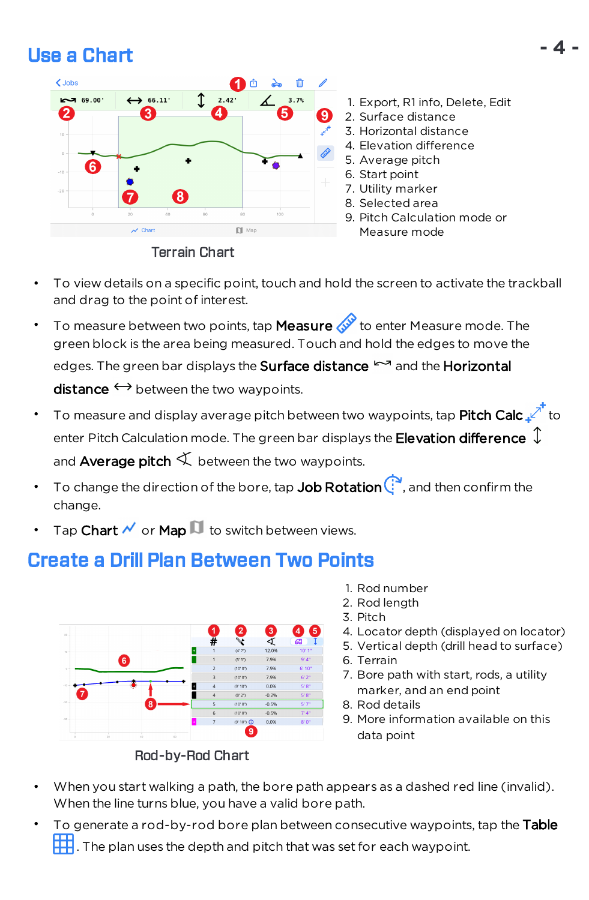# Use a Chart



Terrain Chart

- 1. Export, R1 info, Delete, Edit
- 2. Surface distance
- 3. Horizontal distance
- 4. Elevation difference
- 5. Average pitch
- 6. Start point
- 7. Utility marker
- 8. Selected area
- 9. Pitch Calculation mode or Measure mode
- To view details on a specific point, touch and hold the screen to activate the trackball and drag to the point of interest.
- To measure between two points, tap **Measure**  $\mathscr{A}^{\mathscr{P}}$  to enter Measure mode. The green block is the area being measured. Touch and hold the edges to move the edges. The green bar displays the Surface distance  $\sim$  and the Horizontal  $distance \leftrightarrow$  between the two waypoints.
- To measure and display average pitch between two waypoints, tap **Pitch Calc**  $\mathbb{R}^{\uparrow}$  to enter Pitch Calculation mode. The green bar displays the **Elevation difference**  $\overline{\downarrow}$ and **Average pitch**  $\leq$  between the two waypoints.
- To change the direction of the bore, tap **Job Rotation**  $\mathbb{C}^3$ , and then confirm the change.
- Tap Chart  $\mathcal N$  or Map  $\mathbb H$  to switch between views.

# Create a Drill Plan Between Two Points



Rod-by-Rod Chart

- 1. Rod number
- 2. Rod length
- 3. Pitch
- 4. Locator depth (displayed on locator)
- 5. Vertical depth (drill head to surface)
- 6. Terrain
- 7. Bore path with start, rods, a utility marker, and an end point
- 8. Rod details
- 9. More information available on this data point
- When you start walking a path, the bore path appears as a dashed red line (invalid). When the line turns blue, you have a valid bore path.
- To generate a rod-by-rod bore plan between consecutive waypoints, tap the Table . The plan uses the depth and pitch that was set for each waypoint.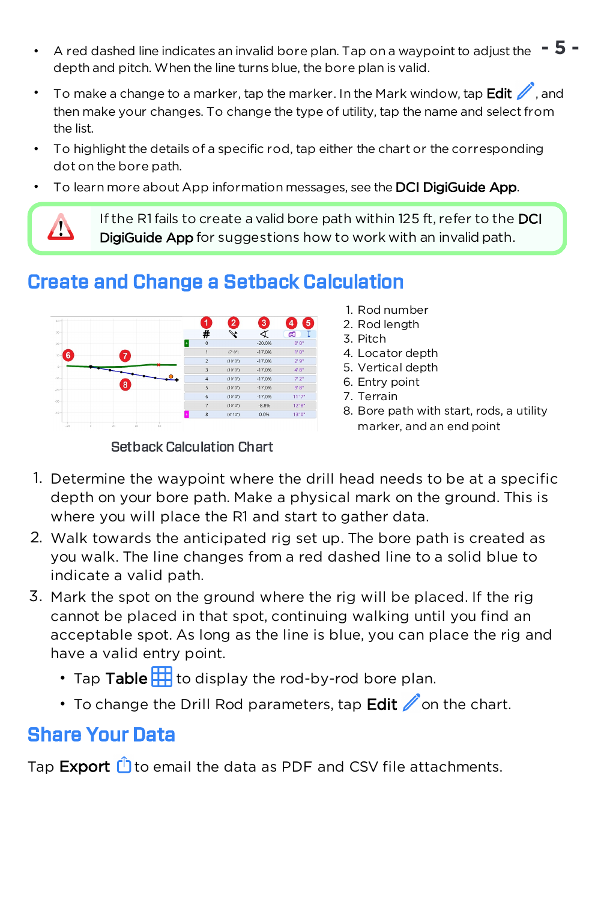- A red dashed line indicates an invalid bore plan. Tap on a waypoint to adjust the **- 5** depth and pitch. When the line turns blue, the bore plan is valid.
- To make a change to a marker, tap the marker. In the Mark window, tap Edit and then make your changes. To change the type of utility, tap the name and select from the list.
- To highlight the details of a specific rod, tap either the chart or the corresponding dot on the bore path.
- To learn more about App information messages, see the DCI DigiGuide App.

If the R1 fails to create a valid bore path within 125 ft, refer to the DCI DigiGuide App for suggestions how to work with an invalid path.

# Create and Change a Setback Calculation



#### Setback Calculation Chart

- 1. Rod number
- 2. Rod length
- 3. Pitch
- 4. Locator depth
- 5. Vertical depth
- 6. Entry point
- 7. Terrain
- 8. Bore path with start, rods, a utility marker, and an end point
- 1. Determine the waypoint where the drill head needs to be at a specific depth on your bore path. Make a physical mark on the ground. This is where you will place the R1 and start to gather data.
- 2. Walk towards the anticipated rig set up. The bore path is created as you walk. The line changes from a red dashed line to a solid blue to indicate a valid path.
- 3. Mark the spot on the ground where the rig will be placed. If the rig cannot be placed in that spot, continuing walking until you find an acceptable spot. As long as the line is blue, you can place the rig and have a valid entry point.
	- Tap Table  $\mathbb H$  to display the rod-by-rod bore plan.
	- To change the Drill Rod parameters, tap  $E$ dit  $\mathbb Z$  on the chart.

# Share Your Data

Λ

Tap **Export**  $\bigcirc$  to email the data as PDF and CSV file attachments.